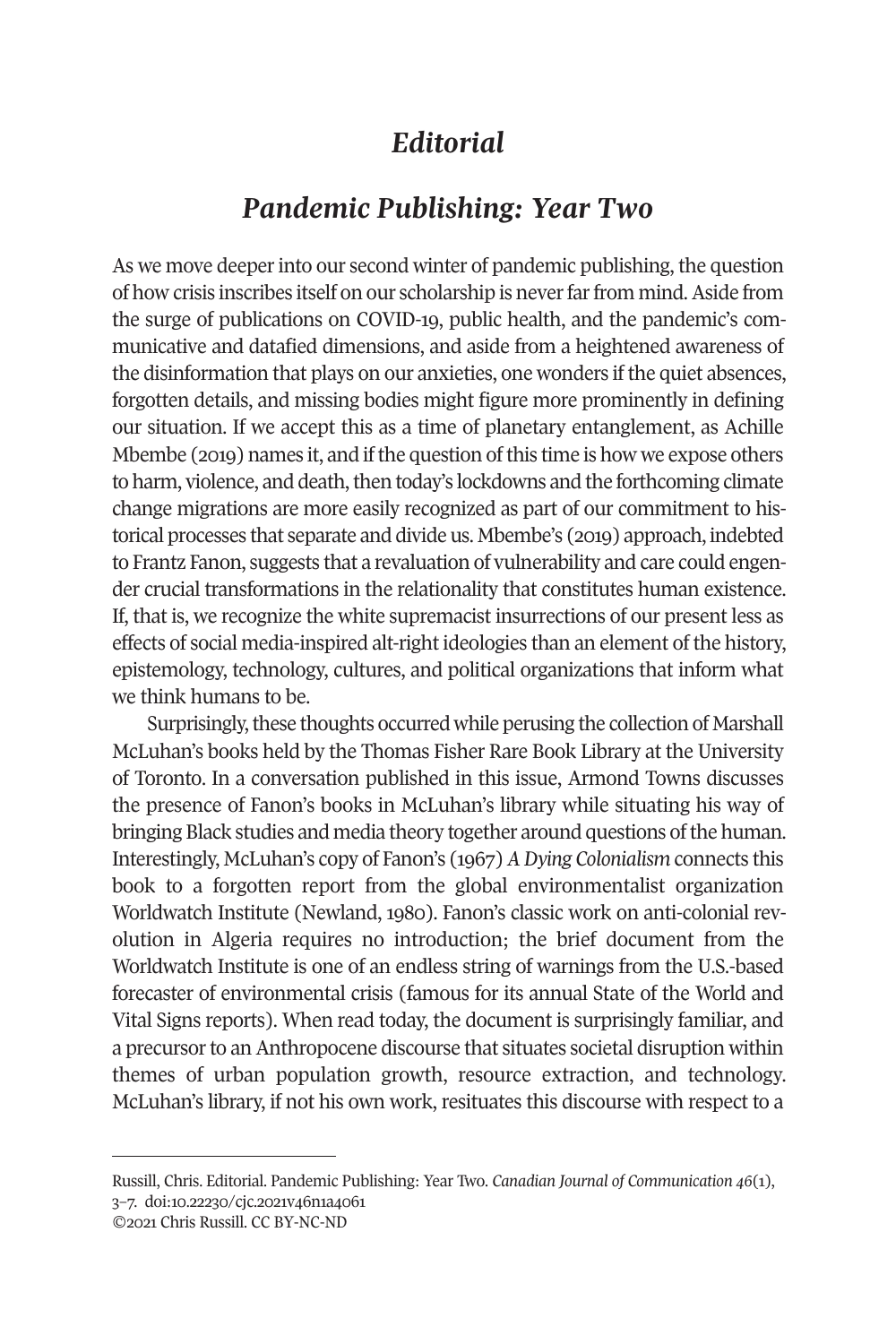## *Editorial*

## *Pandemic Publishing: Year Two*

As we move deeper into our second winter of pandemic publishing, the question of how crisis inscribes itself on our scholarship is never far from mind. Aside from the surge of publications on COVID-19, public health, and the pandemic's communicative and datafied dimensions, and aside from a heightened awareness of the disinformation that plays on our anxieties, one wonders if the quiet absences, forgotten details, and missing bodies might figure more prominently in defining our situation. If we accept this as a time of planetary entanglement, as Achille Mbembe (2019) names it, and if the question of this time is how we expose others to harm, violence, and death, then today's lockdowns and the forthcoming climate change migrations are more easily recognized as part of our commitment to historical processes that separate and divide us. Mbembe's (2019) approach, indebted to Frantz Fanon, suggests that a revaluation of vulnerability and care could engender crucial transformations in the relationality that constitutes human existence. If, that is, we recognize the white supremacist insurrections of our present less as effects of social media-inspired alt-right ideologies than an element of the history, epistemology, technology, cultures, and political organizations that inform what we think humans to be.

Surprisingly, these thoughts occurred while perusing the collection of Marshall McLuhan's books held by the Thomas Fisher Rare Book Library at the University of Toronto. In a conversation published in this issue, Armond Towns discusses the presence of Fanon's books in McLuhan's library while situating his way of bringing Black studies and media theory together around questions of the human. Interestingly, McLuhan's copy of Fanon's (1967) *A Dying Colonialism* connects this book to a forgotten report from the global environmentalist organization Worldwatch Institute (Newland, 1980). Fanon's classic work on anti-colonial revolution in Algeria requires no introduction; the brief document from the Worldwatch Institute is one of an endless string of warnings from the U.S.-based forecaster of environmental crisis (famous for its annual State of the World and Vital Signs reports). When read today, the document is surprisingly familiar, and a precursor to an Anthropocene discourse that situates societal disruption within themes of urban population growth, resource extraction, and technology. McLuhan's library, if not his own work, resituates this discourse with respect to a

Russill, Chris. Editorial. Pandemic Publishing: Year Two. *[Canadian Journal of Communication](http://cjc-online.ca) 46*(1), 3–7. doi[:10.22230/cjc.2021v46n1a4061](https://doi.org/10.22230/cjc.2021v46n1a4061) 

<sup>©2021</sup> Chris Russill. CC BY-NC-ND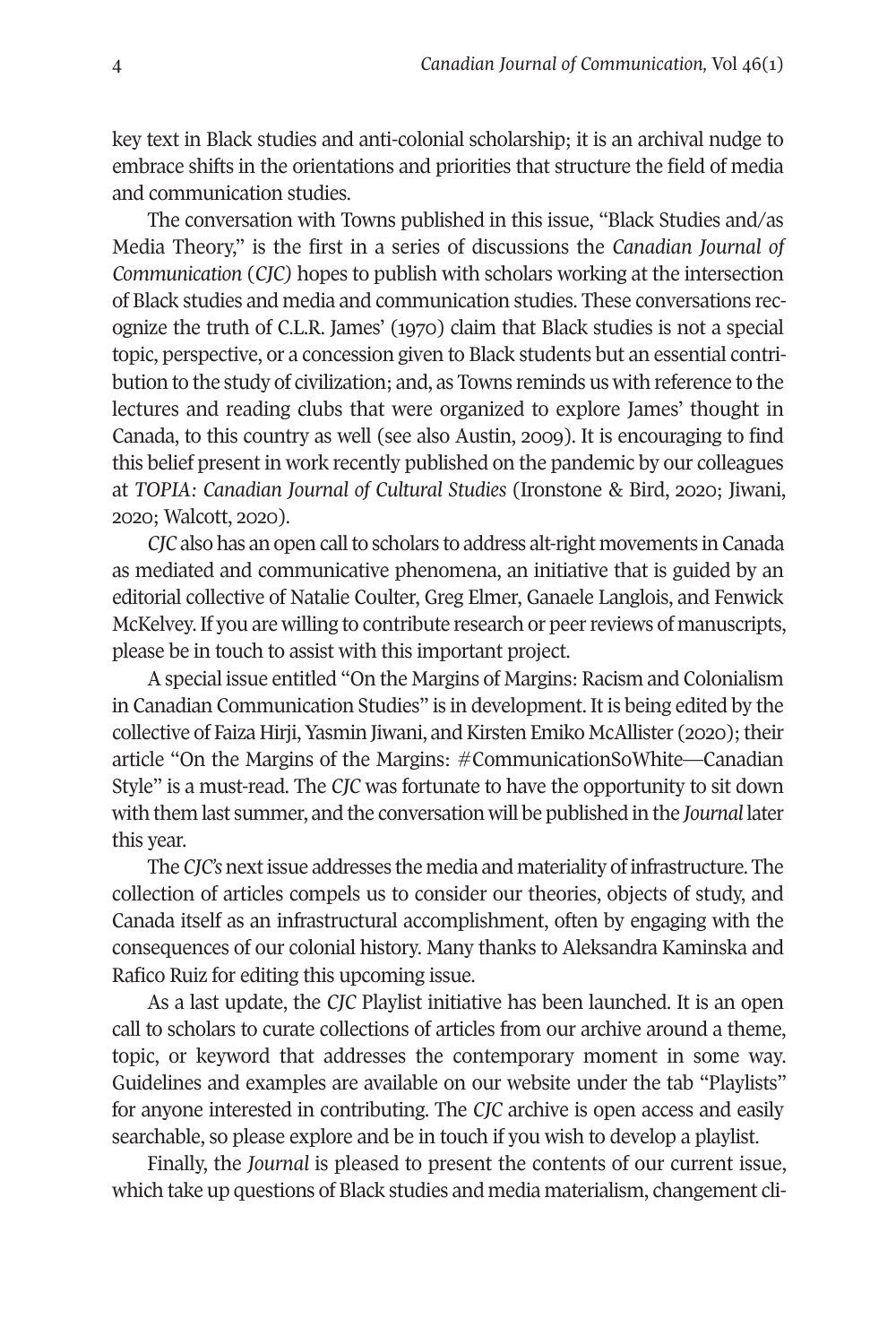key text in Black studies and anti-colonial scholarship; it is an archival nudge to embrace shifts in the orientations and priorities that structure the field of media and communication studies.

The conversation with Towns published in this issue, "Black Studies and/as Media Theory," is the first in a series of discussions the *Canadian Journal of Communication* (*CJC)* hopes to publish with scholars working at the intersection of Black studies and media and communication studies. These conversations recognize the truth of C.L.R. James' (1970) claim that Black studies is not a special topic, perspective, or a concession given to Black students but an essential contribution to the study of civilization; and, as Towns reminds us with reference to the lectures and reading clubs that were organized to explore James' thought in Canada, to this country as well (see also Austin, 2009). It is encouraging to find this belief present in work recently published on the pandemic by our colleagues at *TOPIA: Canadian Journal of Cultural Studies* (Ironstone & Bird, 2020; Jiwani, 2020; Walcott, 2020).

*CJC* also has an open call to scholars to address alt-right movements in Canada as mediated and communicative phenomena, an initiative that is guided by an editorial collective of Natalie Coulter, Greg Elmer, Ganaele Langlois, and Fenwick McKelvey. If you are willing to contribute research or peer reviews of manuscripts, please be in touch to assist with this important project.

A special issue entitled "On the Margins of Margins: Racism and Colonialism in Canadian Communication Studies" is in development. It is being edited by the collective of Faiza Hirji, Yasmin Jiwani, and Kirsten Emiko McAllister (2020); their article "On the Margins of the Margins: #CommunicationSoWhite—Canadian Style" is a must-read. The *CJC* was fortunate to have the opportunity to sit down with them last summer, and the conversation will be published in the *Journal* later this year.

The *CJC's* next issue addresses the media and materiality of infrastructure. The collection of articles compels us to consider our theories, objects of study, and Canada itself as an infrastructural accomplishment, often by engaging with the consequences of our colonial history. Many thanks to Aleksandra Kaminska and Rafico Ruiz for editing this upcoming issue.

As a last update, the *CJC* Playlist initiative has been launched. It is an open call to scholars to curate collections of articles from our archive around a theme, topic, or keyword that addresses the contemporary moment in some way. Guidelines and examples are available on our website under the tab "Playlists" for anyone interested in contributing. The *CJC* archive is open access and easily searchable, so please explore and be in touch if you wish to develop a playlist.

Finally, the *Journal* is pleased to present the contents of our current issue, which take up questions of Black studies and media materialism, changement cli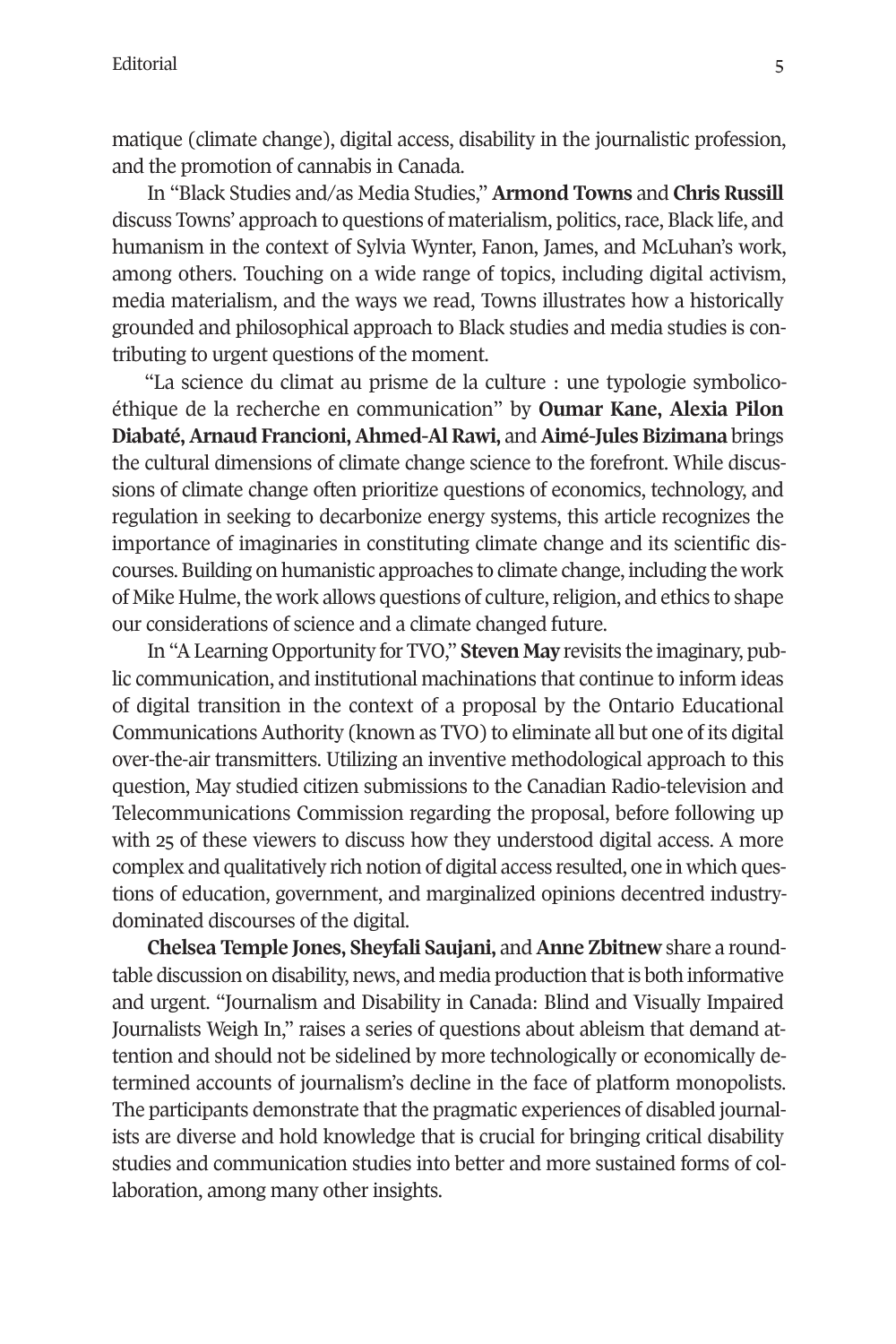matique (climate change), digital access, disability in the journalistic profession, and the promotion of cannabis in Canada.

In "Black Studies and/as Media Studies," **Armond Towns** and **Chris Russill** discuss Towns' approach to questions of materialism, politics, race, Black life, and humanism in the context of Sylvia Wynter, Fanon, James, and McLuhan's work, among others. Touching on a wide range of topics, including digital activism, media materialism, and the ways we read, Towns illustrates how a historically grounded and philosophical approach to Black studies and media studies is contributing to urgent questions of the moment.

"La science du climat au prisme de la culture : une typologie symbolicoéthique de la recherche en communication" by **Oumar Kane, Alexia Pilon Diabaté, Arnaud Francioni, Ahmed-Al Rawi,** and **Aimé-Jules Bizimana** brings the cultural dimensions of climate change science to the forefront. While discussions of climate change often prioritize questions of economics, technology, and regulation in seeking to decarbonize energy systems, this article recognizes the importance of imaginaries in constituting climate change and its scientific discourses. Building on humanistic approaches to climate change, including the work of Mike Hulme, the work allows questions of culture, religion, and ethics to shape our considerations of science and a climate changed future.

In "A Learning Opportunity for TVO," **Steven May** revisits the imaginary, public communication, and institutional machinations that continue to inform ideas of digital transition in the context of a proposal by the Ontario Educational Communications Authority (known as TVO) to eliminate all but one of its digital over-the-air transmitters. Utilizing an inventive methodological approach to this question, May studied citizen submissions to the Canadian Radio-television and Telecommunications Commission regarding the proposal, before following up with 25 of these viewers to discuss how they understood digital access. A more complex and qualitatively rich notion of digital access resulted, one in which questions of education, government, and marginalized opinions decentred industrydominated discourses of the digital.

**Chelsea Temple Jones, Sheyfali Saujani,** and **Anne Zbitnew** share a roundtable discussion on disability, news, and media production that is both informative and urgent. "Journalism and Disability in Canada: Blind and Visually Impaired Journalists Weigh In," raises a series of questions about ableism that demand attention and should not be sidelined by more technologically or economically determined accounts of journalism's decline in the face of platform monopolists. The participants demonstrate that the pragmatic experiences of disabled journalists are diverse and hold knowledge that is crucial for bringing critical disability studies and communication studies into better and more sustained forms of collaboration, among many other insights.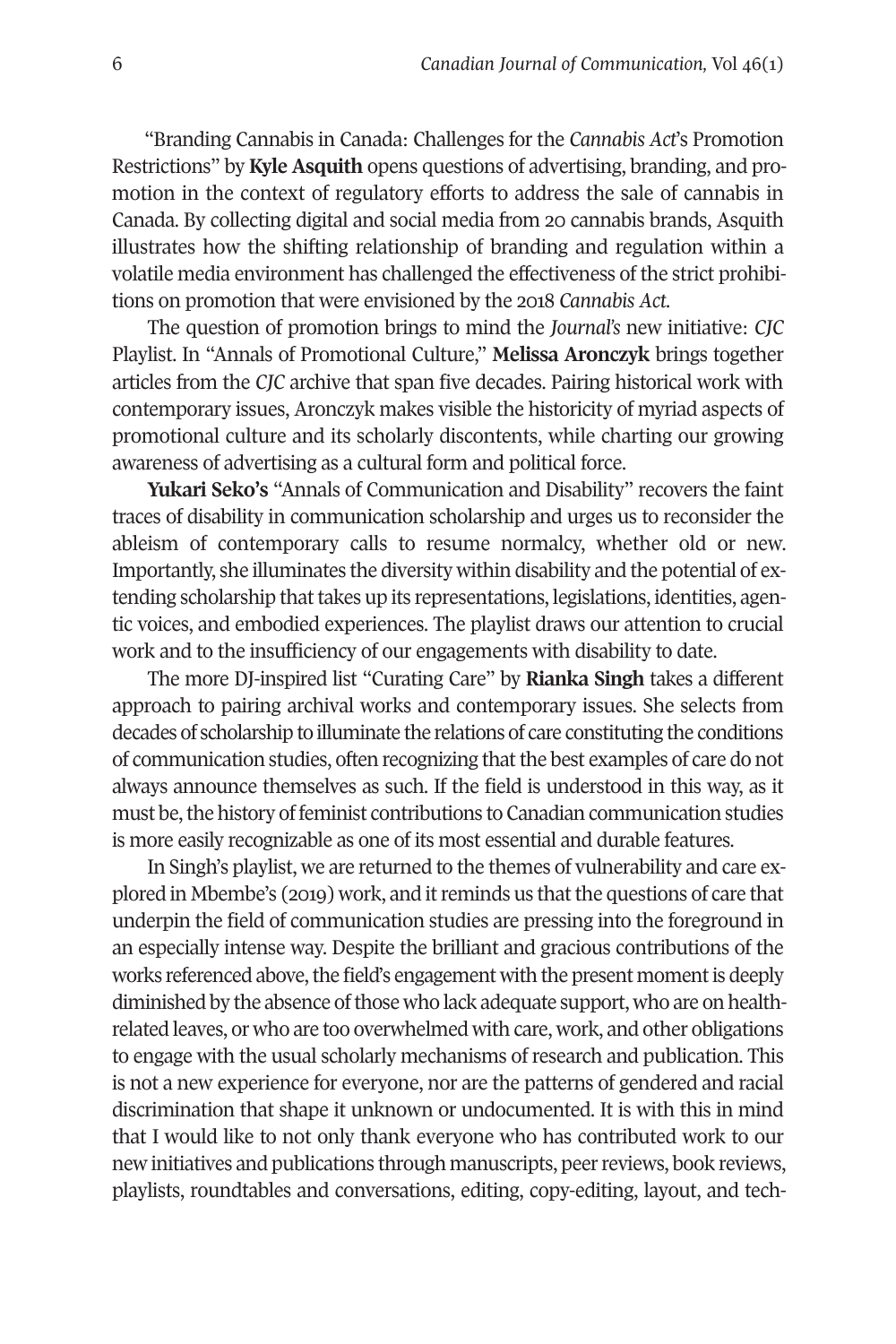"Branding Cannabis in Canada: Challenges for the *Cannabis Act*'s Promotion Restrictions" by **Kyle Asquith** opens questions of advertising, branding, and promotion in the context of regulatory efforts to address the sale of cannabis in Canada. By collecting digital and social media from 20 cannabis brands, Asquith illustrates how the shifting relationship of branding and regulation within a volatile media environment has challenged the effectiveness of the strict prohibitions on promotion that were envisioned by the 2018 *Cannabis Act*.

The question of promotion brings to mind the *Journal's* new initiative: *CJC* Playlist. In "Annals of Promotional Culture," **Melissa Aronczyk** brings together articles from the *CJC* archive that span five decades. Pairing historical work with contemporary issues, Aronczyk makes visible the historicity of myriad aspects of promotional culture and its scholarly discontents, while charting our growing awareness of advertising as a cultural form and political force.

**Yukari Seko's** "Annals of Communication and Disability" recovers the faint traces of disability in communication scholarship and urges us to reconsider the ableism of contemporary calls to resume normalcy, whether old or new. Importantly, she illuminates the diversity within disability and the potential of extending scholarship that takes up its representations, legislations, identities, agentic voices, and embodied experiences. The playlist draws our attention to crucial work and to the insufficiency of our engagements with disability to date.

The more DJ-inspired list "Curating Care" by **Rianka Singh** takes a different approach to pairing archival works and contemporary issues. She selects from decades of scholarship to illuminate the relations of care constituting the conditions of communication studies, often recognizing that the best examples of care do not always announce themselves as such. If the field is understood in this way, as it must be, the history of feminist contributions to Canadian communication studies is more easily recognizable as one of its most essential and durable features.

In Singh's playlist, we are returned to the themes of vulnerability and care explored in Mbembe's (2019) work, and it reminds us that the questions of care that underpin the field of communication studies are pressing into the foreground in an especially intense way. Despite the brilliant and gracious contributions of the works referenced above, the field's engagement with the present moment is deeply diminished by the absence of those who lack adequate support, who are on healthrelated leaves, or who are too overwhelmed with care, work, and other obligations to engage with the usual scholarly mechanisms of research and publication. This is not a new experience for everyone, nor are the patterns of gendered and racial discrimination that shape it unknown or undocumented. It is with this in mind that I would like to not only thank everyone who has contributed work to our new initiatives and publications through manuscripts, peer reviews, book reviews, playlists, roundtables and conversations, editing, copy-editing, layout, and tech